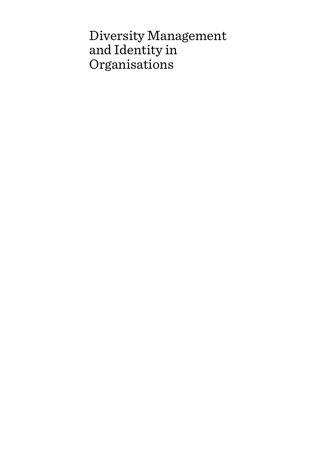# Diversity Management and Identity in Organisations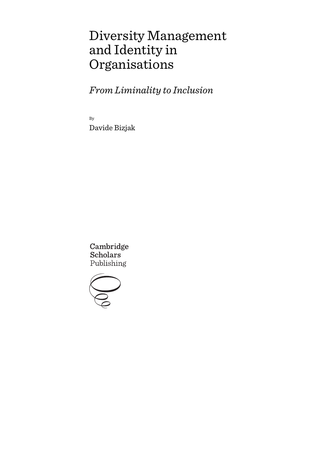# Diversity Management and Identity in Organisations

*From Liminality to Inclusion*

By Davide Bizjak

Cambridge **Scholars** Publishing

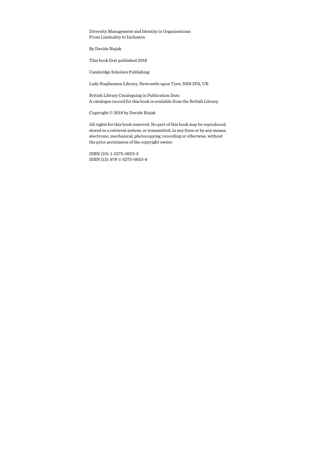Diversity Management and Identity in Organisations: From Liminality to Inclusion

By Davide Bizjak

This book first published 2018

Cambridge Scholars Publishing

Lady Stephenson Library, Newcastle upon Tyne, NE6 2PA, UK

British Library Cataloguing in Publication Data A catalogue record for this book is available from the British Library

Copyright © 2018 by Davide Bizjak

All rights for this book reserved. No part of this book may be reproduced, stored in a retrieval system, or transmitted, in any form or by any means, electronic, mechanical, photocopying, recording or otherwise, without the prior permission of the copyright owner.

ISBN (10): 1-5275-0653-3 ISBN (13): 978-1-5275-0653-4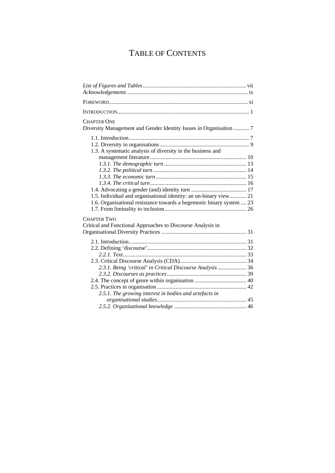## TABLE OF CONTENTS

| <b>CHAPTER ONE</b><br>Diversity Management and Gender Identity Issues in Organisation  7                                                  |
|-------------------------------------------------------------------------------------------------------------------------------------------|
| 1.3. A systematic analysis of diversity in the business and                                                                               |
|                                                                                                                                           |
| 1.5. Individual and organisational identity: an un-binary view 21<br>1.6. Organisational resistance towards a hegemonic binary system  23 |
| <b>CHAPTER TWO</b><br>Critical and Functional Approaches to Discourse Analysis in                                                         |
| 2.3.1. Being 'critical' in Critical Discourse Analysis  36                                                                                |
| 2.5.1. The growing interest in bodies and artefacts in                                                                                    |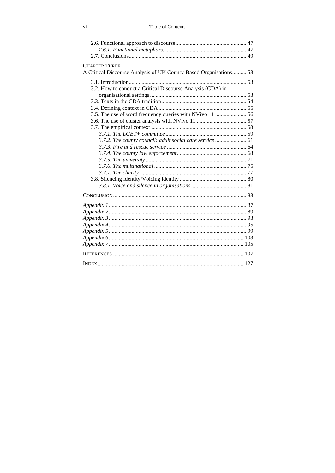#### Table of Contents

| <b>CHAPTER THREE</b>                                              |  |
|-------------------------------------------------------------------|--|
| A Critical Discourse Analysis of UK County-Based Organisations 53 |  |
|                                                                   |  |
| 3.2. How to conduct a Critical Discourse Analysis (CDA) in        |  |
|                                                                   |  |
|                                                                   |  |
|                                                                   |  |
| 3.5. The use of word frequency queries with NVivo 11  56          |  |
|                                                                   |  |
|                                                                   |  |
|                                                                   |  |
| 3.7.2. The county council: adult social care service  61          |  |
|                                                                   |  |
|                                                                   |  |
|                                                                   |  |
|                                                                   |  |
|                                                                   |  |
|                                                                   |  |
|                                                                   |  |
|                                                                   |  |
|                                                                   |  |
|                                                                   |  |
|                                                                   |  |
|                                                                   |  |
|                                                                   |  |
|                                                                   |  |
|                                                                   |  |
|                                                                   |  |
|                                                                   |  |
|                                                                   |  |

 $\overline{\mathbf{vi}}$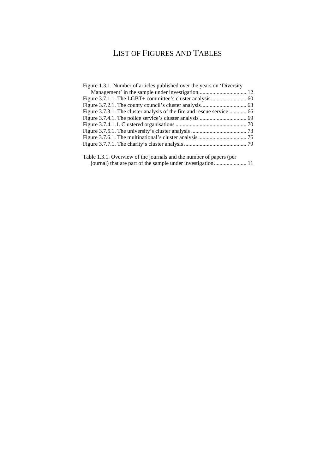## LIST OF FIGURES AND TABLES

| Figure 1.3.1. Number of articles published over the years on 'Diversity |  |
|-------------------------------------------------------------------------|--|
|                                                                         |  |
|                                                                         |  |
|                                                                         |  |
| Figure 3.7.3.1. The cluster analysis of the fire and rescue service  66 |  |
|                                                                         |  |
|                                                                         |  |
|                                                                         |  |
|                                                                         |  |
|                                                                         |  |
|                                                                         |  |

| Table 1.3.1. Overview of the journals and the number of papers (per |  |
|---------------------------------------------------------------------|--|
|                                                                     |  |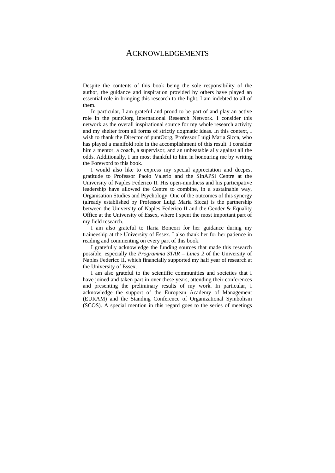### ACKNOWLEDGEMENTS

Despite the contents of this book being the sole responsibility of the author, the guidance and inspiration provided by others have played an essential role in bringing this research to the light. I am indebted to all of them.

In particular, I am grateful and proud to be part of and play an active role in the puntOorg International Research Network. I consider this network as the overall inspirational source for my whole research activity and my shelter from all forms of strictly dogmatic ideas. In this context, I wish to thank the Director of puntOorg, Professor Luigi Maria Sicca, who has played a manifold role in the accomplishment of this result. I consider him a mentor, a coach, a supervisor, and an unbeatable ally against all the odds. Additionally, I am most thankful to him in honouring me by writing the Foreword to this book.

I would also like to express my special appreciation and deepest gratitude to Professor Paolo Valerio and the SInAPSi Centre at the University of Naples Federico II. His open-mindness and his participative leadership have allowed the Centre to combine, in a sustainable way, Organisation Studies and Psychology. One of the outcomes of this synergy (already established by Professor Luigi Maria Sicca) is the partnership between the University of Naples Federico II and the Gender & Equality Office at the University of Essex, where I spent the most important part of my field research.

I am also grateful to Ilaria Boncori for her guidance during my traineeship at the University of Essex. I also thank her for her patience in reading and commenting on every part of this book.

I gratefully acknowledge the funding sources that made this research possible, especially the *Programma STAR – Linea 2* of the University of Naples Federico II, which financially supported my half year of research at the University of Essex.

I am also grateful to the scientific communities and societies that I have joined and taken part in over these years, attending their conferences and presenting the preliminary results of my work. In particular, I acknowledge the support of the European Academy of Management (EURAM) and the Standing Conference of Organizational Symbolism (SCOS). A special mention in this regard goes to the series of meetings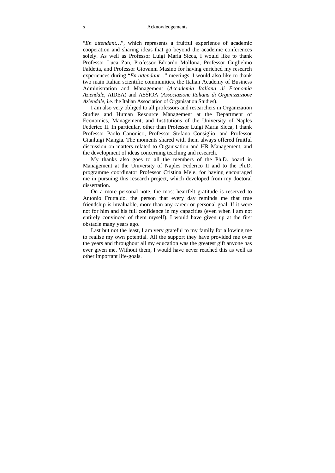"*En attendant…*", which represents a fruitful experience of academic cooperation and sharing ideas that go beyond the academic conferences solely. As well as Professor Luigi Maria Sicca, I would like to thank Professor Luca Zan, Professor Edoardo Mollona, Professor Guglielmo Faldetta, and Professor Giovanni Masino for having enriched my research experiences during "*En attendant…*" meetings. I would also like to thank two main Italian scientific communities, the Italian Academy of Business Administration and Management (*Accademia Italiana di Economia Aziendale*, AIDEA) and ASSIOA (*Associazione Italiana di Organizzazione Aziendale*, i.e. the Italian Association of Organisation Studies).

I am also very obliged to all professors and researchers in Organization Studies and Human Resource Management at the Department of Economics, Management, and Institutions of the University of Naples Federico II. In particular, other than Professor Luigi Maria Sicca, I thank Professor Paolo Canonico, Professor Stefano Consiglio, and Professor Gianluigi Mangia. The moments shared with them always offered fruitful discussion on matters related to Organisation and HR Management, and the development of ideas concerning teaching and research.

My thanks also goes to all the members of the Ph.D. board in Management at the University of Naples Federico II and to the Ph.D. programme coordinator Professor Cristina Mele, for having encouraged me in pursuing this research project, which developed from my doctoral dissertation.

On a more personal note, the most heartfelt gratitude is reserved to Antonio Fruttaldo, the person that every day reminds me that true friendship is invaluable, more than any career or personal goal. If it were not for him and his full confidence in my capacities (even when I am not entirely convinced of them myself), I would have given up at the first obstacle many years ago.

Last but not the least, I am very grateful to my family for allowing me to realise my own potential. All the support they have provided me over the years and throughout all my education was the greatest gift anyone has ever given me. Without them, I would have never reached this as well as other important life-goals.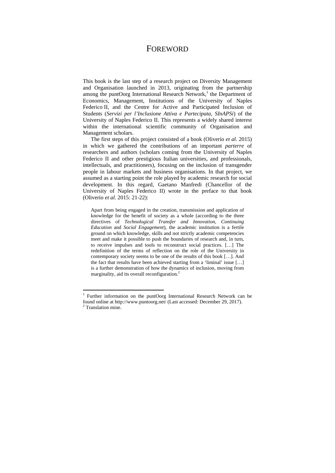### **FOREWORD**

This book is the last step of a research project on Diversity Management and Organisation launched in 2013, originating from the partnership among the puntOorg International Research Network,<sup>1</sup> the Department of Economics, Management, Institutions of the University of Naples Federico II, and the Centre for Active and Participated Inclusion of Students (*Servizi per l'Inclusione Attiva e Partecipata, SInAPSi*) of the University of Naples Federico II. This represents a widely shared interest within the international scientific community of Organisation and Management scholars.

The first steps of this project consisted of a book (Oliverio *et al*. 2015) in which we gathered the contributions of an important *parterre* of researchers and authors (scholars coming from the University of Naples Federico II and other prestigious Italian universities, and professionals, intellectuals, and practitioners), focusing on the inclusion of transgender people in labour markets and business organisations. In that project, we assumed as a starting point the role played by academic research for social development. In this regard, Gaetano Manfredi (Chancellor of the University of Naples Federico II) wrote in the preface to that book (Oliverio *et al*. 2015: 21-22):

Apart from being engaged in the creation, transmission and application of knowledge for the benefit of society as a whole (according to the three directives of *Technological Transfer and Innovation*, *Continuing Education* and *Social Engagement*), the academic institution is a fertile ground on which knowledge, skills and not strictly academic competencies meet and make it possible to push the boundaries of research and, in turn, to receive impulses and tools to reconstruct social practices. […] The redefinition of the terms of reflection on the role of the University in contemporary society seems to be one of the results of this book […]. And the fact that results have been achieved starting from a 'liminal' issue […] is a further demonstration of how the dynamics of inclusion, moving from marginality, aid its overall reconfiguration.<sup>2</sup>

 $\ddot{\phantom{a}}$ 

<sup>&</sup>lt;sup>1</sup> Further information on the puntOorg International Research Network can be found online at http://www.puntoorg.net/ (Last accessed: December 29, 2017).  $2$  Translation mine.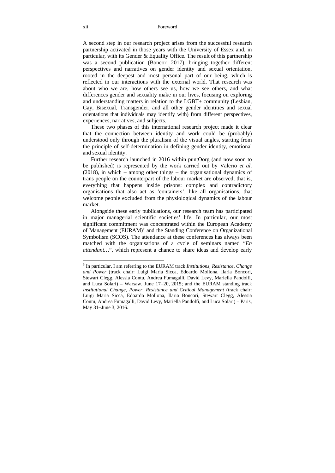A second step in our research project arises from the successful research partnership activated in those years with the University of Essex and, in particular, with its Gender  $&$  Equality Office. The result of this partnership was a second publication (Boncori 2017), bringing together different perspectives and narratives on gender identity and sexual orientation, rooted in the deepest and most personal part of our being, which is reflected in our interactions with the external world. That research was about who we are, how others see us, how we see others, and what differences gender and sexuality make in our lives, focusing on exploring and understanding matters in relation to the LGBT+ community (Lesbian, Gay, Bisexual, Transgender, and all other gender identities and sexual orientations that individuals may identify with) from different perspectives, experiences, narratives, and subjects.

These two phases of this international research project made it clear that the connection between identity and work could be (probably) understood only through the pluralism of the visual angles, starting from the principle of self-determination in defining gender identity, emotional and sexual identity.

Further research launched in 2016 within puntOorg (and now soon to be published) is represented by the work carried out by Valerio *et al*. (2018), in which – among other things – the organisational dynamics of trans people on the counterpart of the labour market are observed, that is, everything that happens inside prisons: complex and contradictory organisations that also act as 'containers', like all organisations, that welcome people excluded from the physiological dynamics of the labour market.

Alongside these early publications, our research team has participated in major managerial scientific societies' life. In particular, our most significant commitment was concentrated within the European Academy of Management (EURAM)<sup>3</sup> and the Standing Conference on Organizational Symbolism (SCOS). The attendance at these conferences has always been matched with the organisations of a cycle of seminars named "*En attendant…*", which represent a chance to share ideas and develop early

 $\overline{a}$ 

<sup>3</sup> In particular, I am referring to the EURAM track *Institutions, Resistance, Change and Power* (track chair: Luigi Maria Sicca, Edoardo Mollona, Ilaria Boncori, Stewart Clegg, Alessia Contu, Andrea Fumagalli, David Levy, Mariella Pandolfi, and Luca Solari) – Warsaw, June 17−20, 2015; and the EURAM standing track *Institutional Change, Power, Resistance and Critical Management* (track chair: Luigi Maria Sicca, Edoardo Mollona, Ilaria Boncori, Stewart Clegg, Alessia Contu, Andrea Fumagalli, David Levy, Mariella Pandolfi, and Luca Solari) – Paris, May 31−June 3, 2016.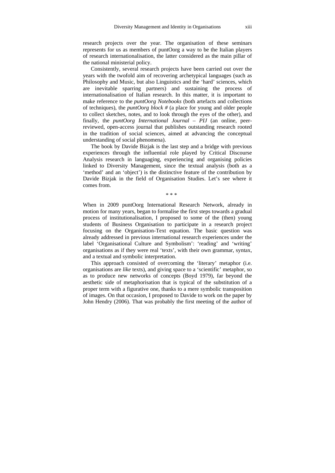research projects over the year. The organisation of these seminars represents for us as members of puntOorg a way to be the Italian players of research internationalisation, the latter considered as the main pillar of the national ministerial policy.

Consistently, several research projects have been carried out over the years with the twofold aim of recovering archetypical languages (such as Philosophy and Music, but also Linguistics and the 'hard' sciences, which are inevitable sparring partners) and sustaining the process of internationalisation of Italian research. In this matter, it is important to make reference to the *puntOorg Notebooks* (both artefacts and collections of techniques), the *puntOorg block #* (a place for young and older people to collect sketches, notes, and to look through the eyes of the other), and finally, the *puntOorg International Journal – PIJ* (an online, peerreviewed, open-access journal that publishes outstanding research rooted in the tradition of social sciences, aimed at advancing the conceptual understanding of social phenomena).

The book by Davide Bizjak is the last step and a bridge with previous experiences through the influential role played by Critical Discourse Analysis research in languaging, experiencing and organising policies linked to Diversity Management, since the textual analysis (both as a 'method' and an 'object') is the distinctive feature of the contribution by Davide Bizjak in the field of Organisation Studies. Let's see where it comes from.

\* \* \*

When in 2009 puntOorg International Research Network, already in motion for many years, began to formalise the first steps towards a gradual process of institutionalisation, I proposed to some of the (then) young students of Business Organisation to participate in a research project focusing on the Organisation-Text equation. The basic question was already addressed in previous international research experiences under the label 'Organisational Culture and Symbolism': 'reading' and 'writing' organisations as if they were real 'texts', with their own grammar, syntax, and a textual and symbolic interpretation.

This approach consisted of overcoming the 'literary' metaphor (i.e. organisations are *like* texts), and giving space to a 'scientific' metaphor, so as to produce new networks of concepts (Boyd 1979), far beyond the aesthetic side of metaphorisation that is typical of the substitution of a proper term with a figurative one, thanks to a mere symbolic transposition of images. On that occasion, I proposed to Davide to work on the paper by John Hendry (2006). That was probably the first meeting of the author of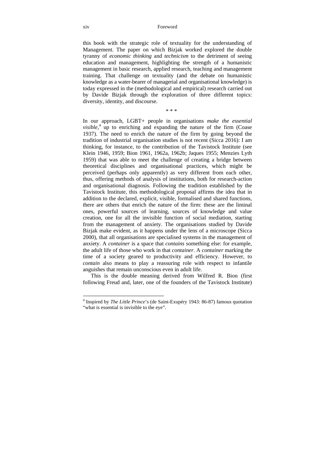#### xiv Foreword

this book with the strategic role of textuality for the understanding of Management. The paper on which Bizjak worked explored the double tyranny of *economic thinking* and *technicism* to the detriment of seeing education and management, highlighting the strength of a humanistic management in basic research, applied research, teaching and management training. That challenge on textuality (and the debate on humanistic knowledge as a water-bearer of managerial and organisational knowledge) is today expressed in the (methodological and empirical) research carried out by Davide Bizjak through the exploration of three different topics: diversity, identity, and discourse.

\* \* \*

In our approach, LGBT+ people in organisations *make the essential visible*,<sup>4</sup> up to enriching and expanding the nature of the firm (Coase 1937). The need to enrich the nature of the firm by going beyond the tradition of industrial organisation studies is not recent (Sicca 2016): I am thinking, for instance, to the contribution of the Tavistock Institute (see Klein 1946, 1959; Bion 1961, 1962a, 1962b; Jaques 1955; Menzies Lyth 1959) that was able to meet the challenge of creating a bridge between theoretical disciplines and organisational practices, which might be perceived (perhaps only apparently) as very different from each other, thus, offering methods of analysis of institutions, both for research-action and organisational diagnosis. Following the tradition established by the Tavistock Institute, this methodological proposal affirms the idea that in addition to the declared, explicit, visible, formalised and shared functions, there are others that enrich the nature of the firm: these are the liminal ones, powerful sources of learning, sources of knowledge and value creation, one for all the invisible function of social mediation, starting from the management of anxiety. The organisations studied by Davide Bizjak make evident, as it happens under the lens of a microscope (Sicca 2000), that all organisations are specialised systems in the management of anxiety. A *container* is a space that *contains* something else: for example, the adult life of those who work in that *container*. A *container* marking the time of a society geared to productivity and efficiency. However, to *contain* also means to play a reassuring role with respect to infantile anguishes that remain unconscious even in adult life.

This is the double meaning derived from Wilfred R. Bion (first following Freud and, later, one of the founders of the Tavistock Institute)

 $\overline{a}$ 

<sup>4</sup> Inspired by *The Little Prince*'s (de Saint-Exupéry 1943: 86-87) famous quotation "what is essential is invisible to the eye".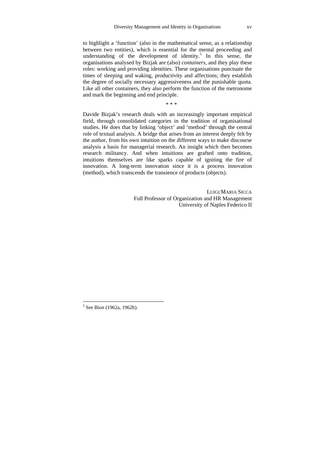to highlight a 'function' (also in the mathematical sense, as a relationship between two entities), which is essential for the mental proceeding and understanding of the development of identity.<sup>5</sup> In this sense, the organisations analysed by Bizjak are (also) *containers*, and they play these roles: working and providing identities. These organisations punctuate the times of sleeping and waking, productivity and affections; they establish the degree of socially necessary aggressiveness and the punishable quota. Like all other containers, they also perform the function of the metronome and mark the beginning and end principle.

\* \* \*

Davide Bizjak's research deals with an increasingly important empirical field, through consolidated categories in the tradition of organisational studies. He does that by linking 'object' and 'method' through the central role of textual analysis. A bridge that arises from an interest deeply felt by the author, from his own intuition on the different ways to make discourse analysis a basis for managerial research. An insight which then becomes research militancy. And when intuitions are grafted onto tradition, intuitions themselves are like sparks capable of igniting the fire of innovation. A long-term innovation since it is a process innovation (method), which transcends the transience of products (objects).

> LUIGI MARIA SICCA Full Professor of Organization and HR Management University of Naples Federico II

<sup>1</sup> <sup>5</sup> See Bion (1962a, 1962b).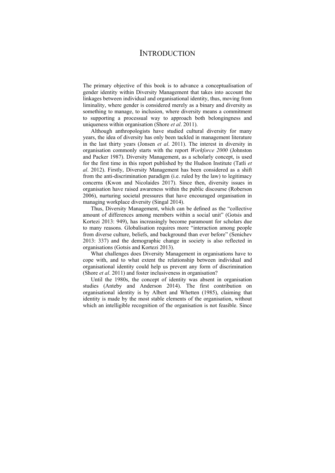## **INTRODUCTION**

The primary objective of this book is to advance a conceptualisation of gender identity within Diversity Management that takes into account the linkages between individual and organisational identity, thus, moving from liminality, where gender is considered merely as a binary and diversity as something to manage, to inclusion, where diversity means a commitment to supporting a processual way to approach both belongingness and uniqueness within organisation (Shore *et al*. 2011).

Although anthropologists have studied cultural diversity for many years, the idea of diversity has only been tackled in management literature in the last thirty years (Jonsen *et al*. 2011). The interest in diversity in organisation commonly starts with the report *Workforce 2000* (Johnston and Packer 1987). Diversity Management, as a scholarly concept, is used for the first time in this report published by the Hudson Institute (Tatli *et al*. 2012). Firstly, Diversity Management has been considered as a shift from the anti-discrimination paradigm (i.e. ruled by the law) to legitimacy concerns (Kwon and Nicolaides 2017). Since then, diversity issues in organisation have raised awareness within the public discourse (Roberson 2006), nurturing societal pressures that have encouraged organisation in managing workplace diversity (Singal 2014).

Thus, Diversity Management, which can be defined as the "collective amount of differences among members within a social unit" (Gotsis and Kortezi 2013: 949), has increasingly become paramount for scholars due to many reasons. Globalisation requires more "interaction among people from diverse culture, beliefs, and background than ever before" (Senichev 2013: 337) and the demographic change in society is also reflected in organisations (Gotsis and Kortezi 2013).

What challenges does Diversity Management in organisations have to cope with, and to what extent the relationship between individual and organisational identity could help us prevent any form of discrimination (Shore *et al*. 2011) and foster inclusiveness in organisation?

Until the 1980s, the concept of identity was absent in organisation studies (Anteby and Anderson 2014). The first contribution on organisational identity is by Albert and Whetten (1985), claiming that identity is made by the most stable elements of the organisation, without which an intelligible recognition of the organisation is not feasible. Since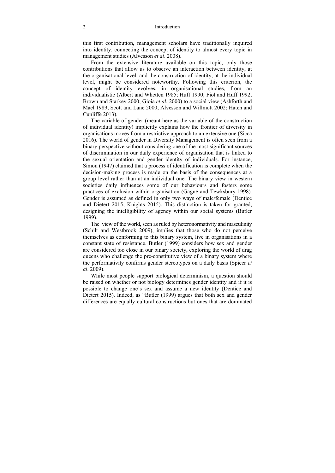this first contribution, management scholars have traditionally inquired into identity, connecting the concept of identity to almost every topic in management studies (Alvesson *et al*. 2008).

From the extensive literature available on this topic, only those contributions that allow us to observe an interaction between identity, at the organisational level, and the construction of identity, at the individual level, might be considered noteworthy. Following this criterion, the concept of identity evolves, in organisational studies, from an individualistic (Albert and Whetten 1985; Huff 1990; Fiol and Huff 1992; Brown and Starkey 2000; Gioia *et al*. 2000) to a social view (Ashforth and Mael 1989; Scott and Lane 2000; Alvesson and Willmott 2002; Hatch and Cunliffe 2013).

The variable of gender (meant here as the variable of the construction of individual identity) implicitly explains how the frontier of diversity in organisations moves from a restrictive approach to an extensive one (Sicca 2016). The world of gender in Diversity Management is often seen from a binary perspective without considering one of the most significant sources of discrimination in our daily experience of organisation that is linked to the sexual orientation and gender identity of individuals. For instance, Simon (1947) claimed that a process of identification is complete when the decision-making process is made on the basis of the consequences at a group level rather than at an individual one. The binary view in western societies daily influences some of our behaviours and fosters some practices of exclusion within organisation (Gagné and Tewksbury 1998). Gender is assumed as defined in only two ways of male/female (Dentice and Dietert 2015; Knights 2015). This distinction is taken for granted, designing the intelligibility of agency within our social systems (Butler 1999).

The view of the world, seen as ruled by heteronormativity and masculinity (Schilt and Westbrook 2009), implies that those who do not perceive themselves as conforming to this binary system, live in organisations in a constant state of resistance. Butler (1999) considers how sex and gender are considered too close in our binary society, exploring the world of drag queens who challenge the pre-constitutive view of a binary system where the performativity confirms gender stereotypes on a daily basis (Spicer *et al*. 2009).

While most people support biological determinism, a question should be raised on whether or not biology determines gender identity and if it is possible to change one's sex and assume a new identity (Dentice and Dietert 2015). Indeed, as "Butler (1999) argues that both sex and gender differences are equally cultural constructions but ones that are dominated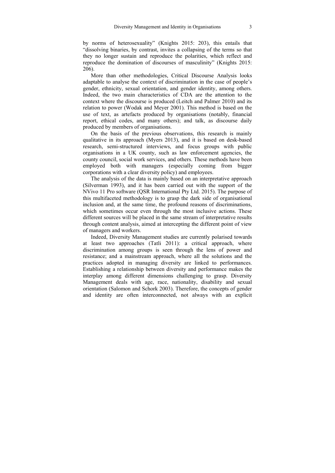by norms of heterosexuality" (Knights 2015: 203), this entails that "dissolving binaries, by contrast, invites a collapsing of the terms so that they no longer sustain and reproduce the polarities, which reflect and reproduce the domination of discourses of masculinity" (Knights 2015: 206).

More than other methodologies, Critical Discourse Analysis looks adaptable to analyse the context of discrimination in the case of people's gender, ethnicity, sexual orientation, and gender identity, among others. Indeed, the two main characteristics of CDA are the attention to the context where the discourse is produced (Leitch and Palmer 2010) and its relation to power (Wodak and Meyer 2001). This method is based on the use of text, as artefacts produced by organisations (notably, financial report, ethical codes, and many others); and talk, as discourse daily produced by members of organisations.

On the basis of the previous observations, this research is mainly qualitative in its approach (Myers 2013), and it is based on desk-based research, semi-structured interviews, and focus groups with public organisations in a UK county, such as law enforcement agencies, the county council, social work services, and others. These methods have been employed both with managers (especially coming from bigger corporations with a clear diversity policy) and employees.

The analysis of the data is mainly based on an interpretative approach (Silverman 1993), and it has been carried out with the support of the NVivo 11 Pro software (QSR International Pty Ltd. 2015). The purpose of this multifaceted methodology is to grasp the dark side of organisational inclusion and, at the same time, the profound reasons of discriminations, which sometimes occur even through the most inclusive actions. These different sources will be placed in the same stream of interpretative results through content analysis, aimed at intercepting the different point of view of managers and workers.

Indeed, Diversity Management studies are currently polarised towards at least two approaches (Tatli 2011): a critical approach, where discrimination among groups is seen through the lens of power and resistance; and a mainstream approach, where all the solutions and the practices adopted in managing diversity are linked to performances. Establishing a relationship between diversity and performance makes the interplay among different dimensions challenging to grasp. Diversity Management deals with age, race, nationality, disability and sexual orientation (Salomon and Schork 2003). Therefore, the concepts of gender and identity are often interconnected, not always with an explicit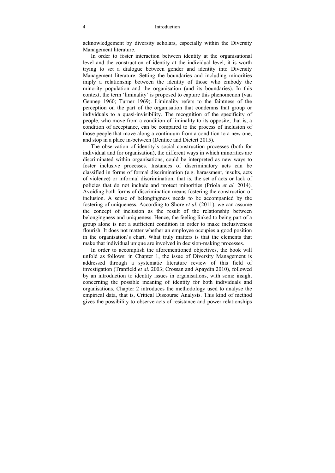#### 4 Introduction

acknowledgement by diversity scholars, especially within the Diversity Management literature.

In order to foster interaction between identity at the organisational level and the construction of identity at the individual level, it is worth trying to set a dialogue between gender and identity into Diversity Management literature. Setting the boundaries and including minorities imply a relationship between the identity of those who embody the minority population and the organisation (and its boundaries). In this context, the term 'liminality' is proposed to capture this phenomenon (van Gennep 1960; Turner 1969). Liminality refers to the faintness of the perception on the part of the organisation that condemns that group or individuals to a quasi-invisibility. The recognition of the specificity of people, who move from a condition of liminality to its opposite, that is, a condition of acceptance, can be compared to the process of inclusion of those people that move along a continuum from a condition to a new one, and stop in a place in-between (Dentice and Dietert 2015).

The observation of identity's social construction processes (both for individual and for organisation), the different ways in which minorities are discriminated within organisations, could be interpreted as new ways to foster inclusive processes. Instances of discriminatory acts can be classified in forms of formal discrimination (e.g. harassment, insults, acts of violence) or informal discrimination, that is, the set of acts or lack of policies that do not include and protect minorities (Priola *et al.* 2014). Avoiding both forms of discrimination means fostering the construction of inclusion. A sense of belongingness needs to be accompanied by the fostering of uniqueness. According to Shore *et al*. (2011), we can assume the concept of inclusion as the result of the relationship between belongingness and uniqueness. Hence, the feeling linked to being part of a group alone is not a sufficient condition in order to make inclusiveness flourish. It does not matter whether an employee occupies a good position in the organisation's chart. What truly matters is that the elements that make that individual unique are involved in decision-making processes.

In order to accomplish the aforementioned objectives, the book will unfold as follows: in Chapter 1, the issue of Diversity Management is addressed through a systematic literature review of this field of investigation (Tranfield *et al*. 2003; Crossan and Apaydin 2010), followed by an introduction to identity issues in organisations, with some insight concerning the possible meaning of identity for both individuals and organisations. Chapter 2 introduces the methodology used to analyse the empirical data, that is, Critical Discourse Analysis. This kind of method gives the possibility to observe acts of resistance and power relationships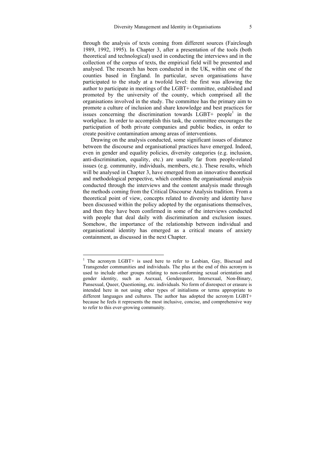through the analysis of texts coming from different sources (Fairclough 1989, 1992, 1995). In Chapter 3, after a presentation of the tools (both theoretical and technological) used in conducting the interviews and in the collection of the corpus of texts, the empirical field will be presented and analysed. The research has been conducted in the UK, within one of the counties based in England. In particular, seven organisations have participated to the study at a twofold level: the first was allowing the author to participate in meetings of the LGBT+ committee, established and promoted by the university of the county, which comprised all the organisations involved in the study. The committee has the primary aim to promote a culture of inclusion and share knowledge and best practices for issues concerning the discrimination towards  $LGBT+$  people<sup>1</sup> in the workplace. In order to accomplish this task, the committee encourages the participation of both private companies and public bodies, in order to create positive contamination among areas of interventions.

Drawing on the analysis conducted, some significant issues of distance between the discourse and organisational practices have emerged. Indeed, even in gender and equality policies, diversity categories (e.g. inclusion, anti-discrimination, equality, etc.) are usually far from people-related issues (e.g. community, individuals, members, etc.). These results, which will be analysed in Chapter 3, have emerged from an innovative theoretical and methodological perspective, which combines the organisational analysis conducted through the interviews and the content analysis made through the methods coming from the Critical Discourse Analysis tradition. From a theoretical point of view, concepts related to diversity and identity have been discussed within the policy adopted by the organisations themselves, and then they have been confirmed in some of the interviews conducted with people that deal daily with discrimination and exclusion issues. Somehow, the importance of the relationship between individual and organisational identity has emerged as a critical means of anxiety containment, as discussed in the next Chapter.

 $\overline{a}$ 

<sup>&</sup>lt;sup>1</sup> The acronym LGBT+ is used here to refer to Lesbian, Gay, Bisexual and Transgender communities and individuals. The plus at the end of this acronym is used to include other groups relating to non-conforming sexual orientation and gender identity, such as Asexual, Genderqueer, Intersexual, Non-Binary, Pansexual, Queer, Questioning, etc. individuals. No form of disrespect or erasure is intended here in not using other types of initialisms or terms appropriate to different languages and cultures. The author has adopted the acronym LGBT+ because he feels it represents the most inclusive, concise, and comprehensive way to refer to this ever-growing community.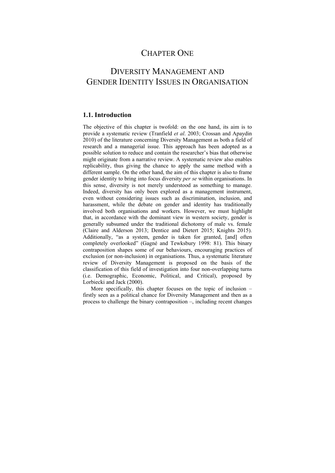## CHAPTER ONE

## DIVERSITY MANAGEMENT AND GENDER IDENTITY ISSUES IN ORGANISATION

#### **1.1. Introduction**

The objective of this chapter is twofold: on the one hand, its aim is to provide a systematic review (Tranfield *et al*. 2003; Crossan and Apaydin 2010) of the literature concerning Diversity Management as both a field of research and a managerial issue. This approach has been adopted as a possible solution to reduce and contain the researcher's bias that otherwise might originate from a narrative review. A systematic review also enables replicability, thus giving the chance to apply the same method with a different sample. On the other hand, the aim of this chapter is also to frame gender identity to bring into focus diversity *per se* within organisations. In this sense, diversity is not merely understood as something to manage. Indeed, diversity has only been explored as a management instrument, even without considering issues such as discrimination, inclusion, and harassment, while the debate on gender and identity has traditionally involved both organisations and workers. However, we must highlight that, in accordance with the dominant view in western society, gender is generally subsumed under the traditional dichotomy of male vs. female (Claire and Alderson 2013; Dentice and Dietert 2015; Knights 2015). Additionally, "as a system, gender is taken for granted, [and] often completely overlooked" (Gagné and Tewksbury 1998: 81). This binary contraposition shapes some of our behaviours, encouraging practices of exclusion (or non-inclusion) in organisations. Thus, a systematic literature review of Diversity Management is proposed on the basis of the classification of this field of investigation into four non-overlapping turns (i.e. Demographic, Economic, Political, and Critical), proposed by Lorbiecki and Jack (2000).

More specifically, this chapter focuses on the topic of inclusion – firstly seen as a political chance for Diversity Management and then as a process to challenge the binary contraposition –, including recent changes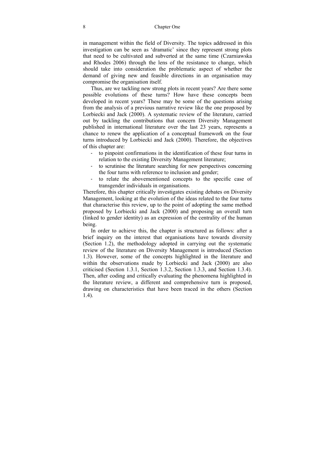in management within the field of Diversity. The topics addressed in this investigation can be seen as 'dramatic' since they represent strong plots that need to be cultivated and subverted at the same time (Czarniawska and Rhodes 2006) through the lens of the resistance to change, which should take into consideration the problematic aspect of whether the demand of giving new and feasible directions in an organisation may compromise the organisation itself.

Thus, are we tackling new strong plots in recent years? Are there some possible evolutions of these turns? How have these concepts been developed in recent years? These may be some of the questions arising from the analysis of a previous narrative review like the one proposed by Lorbiecki and Jack (2000). A systematic review of the literature, carried out by tackling the contributions that concern Diversity Management published in international literature over the last 23 years, represents a chance to renew the application of a conceptual framework on the four turns introduced by Lorbiecki and Jack (2000). Therefore, the objectives of this chapter are:

- to pinpoint confirmations in the identification of these four turns in relation to the existing Diversity Management literature;
- to scrutinise the literature searching for new perspectives concerning the four turns with reference to inclusion and gender;
- to relate the abovementioned concepts to the specific case of transgender individuals in organisations.

Therefore, this chapter critically investigates existing debates on Diversity Management, looking at the evolution of the ideas related to the four turns that characterise this review, up to the point of adopting the same method proposed by Lorbiecki and Jack (2000) and proposing an overall turn (linked to gender identity) as an expression of the centrality of the human being.

In order to achieve this, the chapter is structured as follows: after a brief inquiry on the interest that organisations have towards diversity (Section 1.2), the methodology adopted in carrying out the systematic review of the literature on Diversity Management is introduced (Section 1.3). However, some of the concepts highlighted in the literature and within the observations made by Lorbiecki and Jack (2000) are also criticised (Section 1.3.1, Section 1.3.2, Section 1.3.3, and Section 1.3.4). Then, after coding and critically evaluating the phenomena highlighted in the literature review, a different and comprehensive turn is proposed, drawing on characteristics that have been traced in the others (Section 1.4).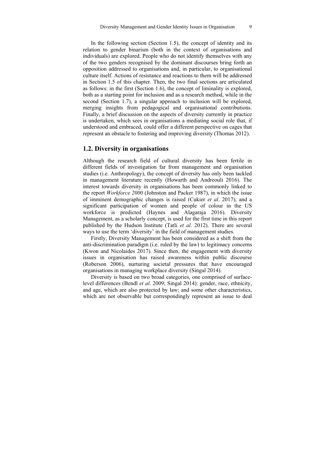In the following section (Section 1.5), the concept of identity and its relation to gender binarism (both in the context of organisations and individuals) are explored. People who do not identify themselves with any of the two genders recognised by the dominant discourses bring forth an opposition addressed to organisations and, in particular, to organisational culture itself. Actions of resistance and reactions to them will be addressed in Section 1.5 of this chapter. Then, the two final sections are articulated as follows: in the first (Section 1.6), the concept of liminality is explored, both as a starting point for inclusion and as a research method, while in the second (Section 1.7), a singular approach to inclusion will be explored, merging insights from pedagogical and organisational contributions. Finally, a brief discussion on the aspects of diversity currently in practice is undertaken, which sees in organisations a mediating social role that, if understood and embraced, could offer a different perspective on cages that represent an obstacle to fostering and improving diversity (Thomas 2012).

#### **1.2. Diversity in organisations**

Although the research field of cultural diversity has been fertile in different fields of investigation far from management and organisation studies (i.e. Anthropology), the concept of diversity has only been tackled in management literature recently (Howarth and Andreouli 2016). The interest towards diversity in organisations has been commonly linked to the report *Workforce 2000* (Johnston and Packer 1987), in which the issue of imminent demographic changes is raised (Cukier *et al*. 2017), and a significant participation of women and people of colour in the US workforce is predicted (Haynes and Alagaraja 2016). Diversity Management, as a scholarly concept, is used for the first time in this report published by the Hudson Institute (Tatli *et al*. 2012). There are several ways to use the term 'diversity' in the field of management studies.

Firstly, Diversity Management has been considered as a shift from the anti-discrimination paradigm (i.e. ruled by the law) to legitimacy concerns (Kwon and Nicolaides 2017). Since then, the engagement with diversity issues in organisation has raised awareness within public discourse (Roberson 2006), nurturing societal pressures that have encouraged organisations in managing workplace diversity (Singal 2014).

Diversity is based on two broad categories, one comprised of surfacelevel differences (Bendl *et al*. 2009; Singal 2014): gender, race, ethnicity, and age, which are also protected by law; and some other characteristics, which are not observable but correspondingly represent an issue to deal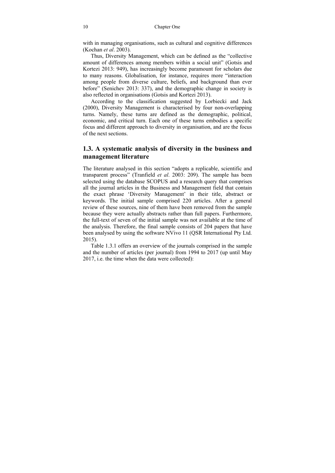with in managing organisations, such as cultural and cognitive differences (Kochan *et al*. 2003).

Thus, Diversity Management, which can be defined as the "collective amount of differences among members within a social unit" (Gotsis and Kortezi 2013: 949), has increasingly become paramount for scholars due to many reasons. Globalisation, for instance, requires more "interaction among people from diverse culture, beliefs, and background than ever before" (Senichev 2013: 337), and the demographic change in society is also reflected in organisations (Gotsis and Kortezi 2013).

According to the classification suggested by Lorbiecki and Jack (2000), Diversity Management is characterised by four non-overlapping turns. Namely, these turns are defined as the demographic, political, economic, and critical turn. Each one of these turns embodies a specific focus and different approach to diversity in organisation, and are the focus of the next sections.

### **1.3. A systematic analysis of diversity in the business and management literature**

The literature analysed in this section "adopts a replicable, scientific and transparent process" (Tranfield *et al*. 2003: 209). The sample has been selected using the database SCOPUS and a research query that comprises all the journal articles in the Business and Management field that contain the exact phrase 'Diversity Management' in their title, abstract or keywords. The initial sample comprised 220 articles. After a general review of these sources, nine of them have been removed from the sample because they were actually abstracts rather than full papers. Furthermore, the full-text of seven of the initial sample was not available at the time of the analysis. Therefore, the final sample consists of 204 papers that have been analysed by using the software NVivo 11 (QSR International Pty Ltd. 2015).

Table 1.3.1 offers an overview of the journals comprised in the sample and the number of articles (per journal) from 1994 to 2017 (up until May 2017, i.e. the time when the data were collected):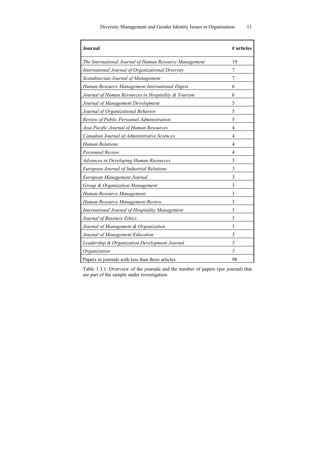| Journal                                                | # articles |
|--------------------------------------------------------|------------|
| The International Journal of Human Resource Management | 19         |
| International Journal of Organizational Diversity      | 7          |
| Scandinavian Journal of Management                     | 7          |
| Human Resource Management International Digest         | 6          |
| Journal of Human Resources in Hospitality & Tourism    | 6          |
| Journal of Management Development                      | 5          |
| Journal of Organizational Behavior                     | 5          |
| Review of Public Personnel Administration              | 5          |
| Asia Pacific Journal of Human Resources                | 4          |
| Canadian Journal of Administrative Sciences            | 4          |
| <b>Human Relations</b>                                 | 4          |
| Personnel Review                                       | 4          |
| Advances in Developing Human Resources                 | 3          |
| European Journal of Industrial Relations               | 3          |
| European Management Journal                            | 3          |
| Group & Organization Management                        | 3          |
| Human Resource Management                              | 3          |
| Human Resource Management Review                       | 3          |
| International Journal of Hospitality Management        | 3          |
| Journal of Business Ethics                             | 3          |
| Journal of Management & Organization                   | 3          |
| Journal of Management Education                        | 3          |
| Leadership & Organization Development Journal          | 3          |
| Organization                                           | 3          |
| Papers in journals with less than three articles       | 98         |

Table 1.3.1. Overview of the journals and the number of papers (per journal) that are part of the sample under investigation.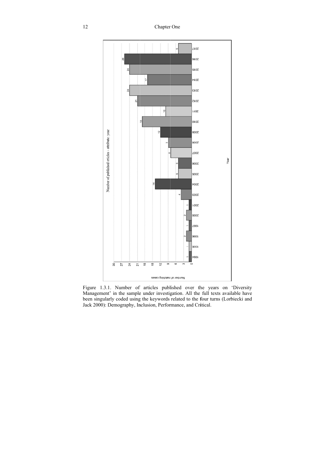

Figure 1.3.1. Number of articles published over the years on 'Diversity Management' in the sample under investigation. All the full texts available have been singularly coded using the keywords related to the four turns (Lorbiecki and Jack 2000): Demography, Inclusion, Performance, and Critical.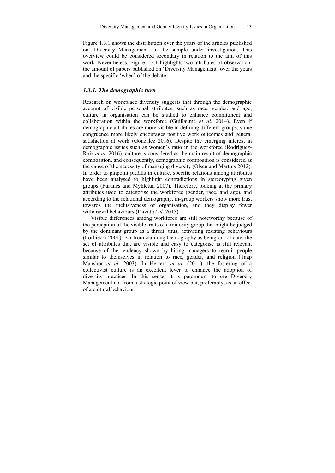Figure 1.3.1 shows the distribution over the years of the articles published on 'Diversity Management' in the sample under investigation. This overview could be considered secondary in relation to the aim of this work. Nevertheless, Figure 1.3.1 highlights two attributes of observation: the amount of papers published on 'Diversity Management' over the years and the specific 'when' of the debate.

#### *1.3.1. The demographic turn*

Research on workplace diversity suggests that through the demographic account of visible personal attributes, such as race, gender, and age, culture in organisation can be studied to enhance commitment and collaboration within the workforce (Guillaume *et al*. 2014). Even if demographic attributes are more visible in defining different groups, value congruence more likely encourages positive work outcomes and general satisfaction at work (Gonzalez 2016). Despite the emerging interest in demographic issues such as women's ratio in the workforce (Rodríguez-Ruiz *et al*. 2016), culture is considered as the main result of demographic composition, and consequently, demographic composition is considered as the cause of the necessity of managing diversity (Olsen and Martins 2012). In order to pinpoint pitfalls in culture, specific relations among attributes have been analysed to highlight contradictions in stereotyping given groups (Furunes and Mykletun 2007). Therefore, looking at the primary attributes used to categorise the workforce (gender, race, and age), and according to the relational demography, in-group workers show more trust towards the inclusiveness of organisation, and they display fewer withdrawal behaviours (David *et al*. 2015).

Visible differences among workforce are still noteworthy because of the perception of the visible traits of a minority group that might be judged by the dominant group as a threat, thus, activating resisting behaviours (Lorbiecki 2001). Far from claiming Demography as being out of date, the set of attributes that are visible and easy to categorise is still relevant because of the tendency shown by hiring managers to recruit people similar to themselves in relation to race, gender, and religion (Taap Manshor *et al*. 2003). In Herrera *et al*. (2011), the fostering of a collectivist culture is an excellent lever to enhance the adoption of diversity practices. In this sense, it is paramount to see Diversity Management not from a strategic point of view but, preferably, as an effect of a cultural behaviour.